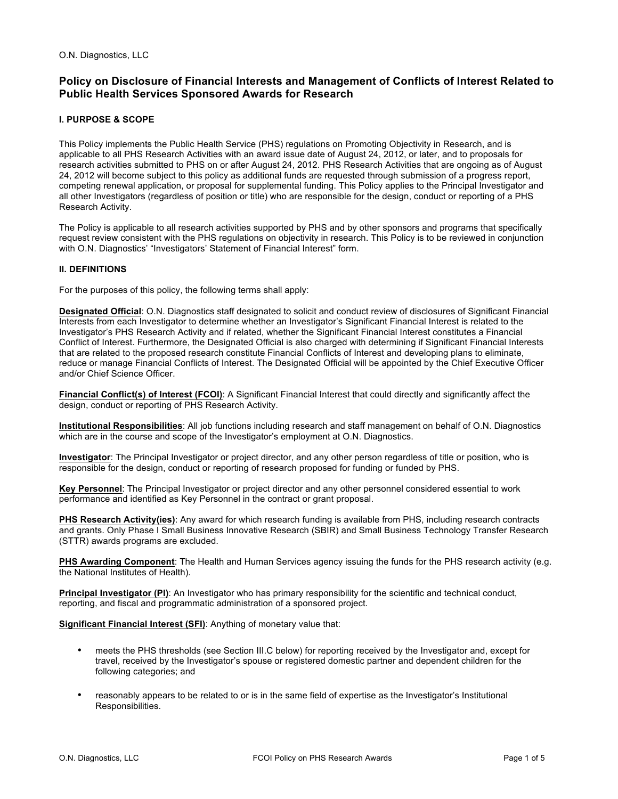# **Policy on Disclosure of Financial Interests and Management of Conflicts of Interest Related to Public Health Services Sponsored Awards for Research**

# **I. PURPOSE & SCOPE**

This Policy implements the Public Health Service (PHS) regulations on Promoting Objectivity in Research, and is applicable to all PHS Research Activities with an award issue date of August 24, 2012, or later, and to proposals for research activities submitted to PHS on or after August 24, 2012. PHS Research Activities that are ongoing as of August 24, 2012 will become subject to this policy as additional funds are requested through submission of a progress report, competing renewal application, or proposal for supplemental funding. This Policy applies to the Principal Investigator and all other Investigators (regardless of position or title) who are responsible for the design, conduct or reporting of a PHS Research Activity.

The Policy is applicable to all research activities supported by PHS and by other sponsors and programs that specifically request review consistent with the PHS regulations on objectivity in research. This Policy is to be reviewed in conjunction with O.N. Diagnostics' "Investigators' Statement of Financial Interest" form.

## **II. DEFINITIONS**

For the purposes of this policy, the following terms shall apply:

**Designated Official**: O.N. Diagnostics staff designated to solicit and conduct review of disclosures of Significant Financial Interests from each Investigator to determine whether an Investigator's Significant Financial Interest is related to the Investigator's PHS Research Activity and if related, whether the Significant Financial Interest constitutes a Financial Conflict of Interest. Furthermore, the Designated Official is also charged with determining if Significant Financial Interests that are related to the proposed research constitute Financial Conflicts of Interest and developing plans to eliminate, reduce or manage Financial Conflicts of Interest. The Designated Official will be appointed by the Chief Executive Officer and/or Chief Science Officer.

**Financial Conflict(s) of Interest (FCOI)**: A Significant Financial Interest that could directly and significantly affect the design, conduct or reporting of PHS Research Activity.

**Institutional Responsibilities**: All job functions including research and staff management on behalf of O.N. Diagnostics which are in the course and scope of the Investigator's employment at O.N. Diagnostics.

**Investigator**: The Principal Investigator or project director, and any other person regardless of title or position, who is responsible for the design, conduct or reporting of research proposed for funding or funded by PHS.

**Key Personnel**: The Principal Investigator or project director and any other personnel considered essential to work performance and identified as Key Personnel in the contract or grant proposal.

**PHS Research Activity(ies)**: Any award for which research funding is available from PHS, including research contracts and grants. Only Phase I Small Business Innovative Research (SBIR) and Small Business Technology Transfer Research (STTR) awards programs are excluded.

**PHS Awarding Component**: The Health and Human Services agency issuing the funds for the PHS research activity (e.g. the National Institutes of Health).

**Principal Investigator (PI)**: An Investigator who has primary responsibility for the scientific and technical conduct, reporting, and fiscal and programmatic administration of a sponsored project.

**Significant Financial Interest (SFI)**: Anything of monetary value that:

- meets the PHS thresholds (see Section III.C below) for reporting received by the Investigator and, except for travel, received by the Investigator's spouse or registered domestic partner and dependent children for the following categories; and
- reasonably appears to be related to or is in the same field of expertise as the Investigator's Institutional Responsibilities.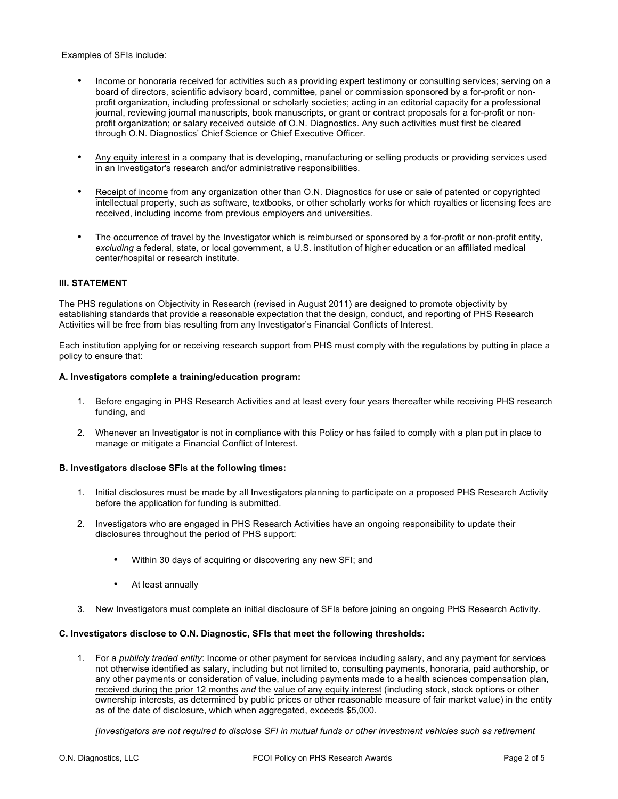Examples of SFIs include:

- Income or honoraria received for activities such as providing expert testimony or consulting services; serving on a board of directors, scientific advisory board, committee, panel or commission sponsored by a for-profit or nonprofit organization, including professional or scholarly societies; acting in an editorial capacity for a professional journal, reviewing journal manuscripts, book manuscripts, or grant or contract proposals for a for-profit or nonprofit organization; or salary received outside of O.N. Diagnostics. Any such activities must first be cleared through O.N. Diagnostics' Chief Science or Chief Executive Officer.
- Any equity interest in a company that is developing, manufacturing or selling products or providing services used in an Investigator's research and/or administrative responsibilities.
- Receipt of income from any organization other than O.N. Diagnostics for use or sale of patented or copyrighted intellectual property, such as software, textbooks, or other scholarly works for which royalties or licensing fees are received, including income from previous employers and universities.
- The occurrence of travel by the Investigator which is reimbursed or sponsored by a for-profit or non-profit entity, *excluding* a federal, state, or local government, a U.S. institution of higher education or an affiliated medical center/hospital or research institute.

#### **III. STATEMENT**

The PHS regulations on Objectivity in Research (revised in August 2011) are designed to promote objectivity by establishing standards that provide a reasonable expectation that the design, conduct, and reporting of PHS Research Activities will be free from bias resulting from any Investigator's Financial Conflicts of Interest.

Each institution applying for or receiving research support from PHS must comply with the regulations by putting in place a policy to ensure that:

#### **A. Investigators complete a training/education program:**

- 1. Before engaging in PHS Research Activities and at least every four years thereafter while receiving PHS research funding, and
- 2. Whenever an Investigator is not in compliance with this Policy or has failed to comply with a plan put in place to manage or mitigate a Financial Conflict of Interest.

#### **B. Investigators disclose SFIs at the following times:**

- 1. Initial disclosures must be made by all Investigators planning to participate on a proposed PHS Research Activity before the application for funding is submitted.
- 2. Investigators who are engaged in PHS Research Activities have an ongoing responsibility to update their disclosures throughout the period of PHS support:
	- Within 30 days of acquiring or discovering any new SFI; and
	- At least annually
- 3. New Investigators must complete an initial disclosure of SFIs before joining an ongoing PHS Research Activity.

#### **C. Investigators disclose to O.N. Diagnostic, SFIs that meet the following thresholds:**

1. For a *publicly traded entity*: Income or other payment for services including salary, and any payment for services not otherwise identified as salary, including but not limited to, consulting payments, honoraria, paid authorship, or any other payments or consideration of value, including payments made to a health sciences compensation plan, received during the prior 12 months *and* the value of any equity interest (including stock, stock options or other ownership interests, as determined by public prices or other reasonable measure of fair market value) in the entity as of the date of disclosure, which when aggregated, exceeds \$5,000.

*[Investigators are not required to disclose SFI in mutual funds or other investment vehicles such as retirement*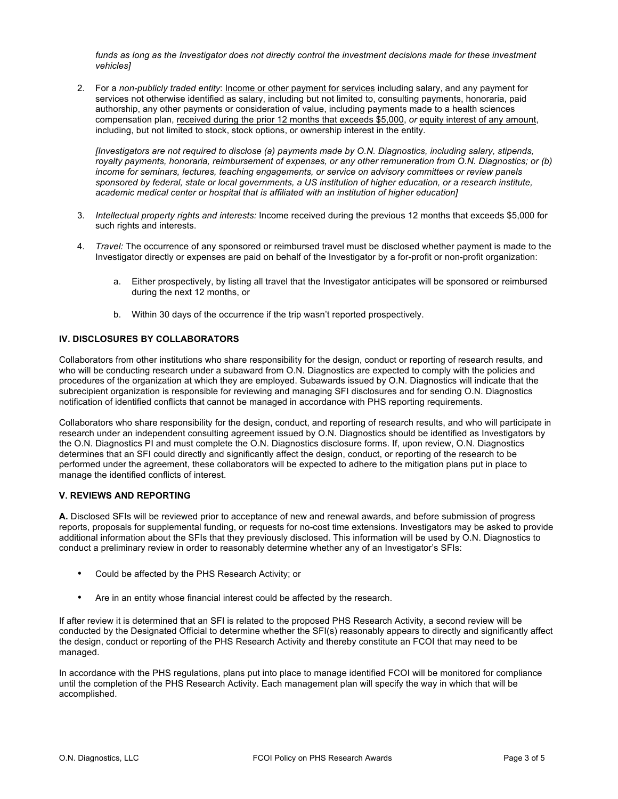funds as long as the Investigator does not directly control the investment decisions made for these investment *vehicles]*

2. For a *non-publicly traded entity*: Income or other payment for services including salary, and any payment for services not otherwise identified as salary, including but not limited to, consulting payments, honoraria, paid authorship, any other payments or consideration of value, including payments made to a health sciences compensation plan, received during the prior 12 months that exceeds \$5,000, *or* equity interest of any amount, including, but not limited to stock, stock options, or ownership interest in the entity.

*[Investigators are not required to disclose (a) payments made by O.N. Diagnostics, including salary, stipends, royalty payments, honoraria, reimbursement of expenses, or any other remuneration from O.N. Diagnostics; or (b) income for seminars, lectures, teaching engagements, or service on advisory committees or review panels sponsored by federal, state or local governments, a US institution of higher education, or a research institute, academic medical center or hospital that is affiliated with an institution of higher education]*

- 3. *Intellectual property rights and interests:* Income received during the previous 12 months that exceeds \$5,000 for such rights and interests.
- 4. *Travel:* The occurrence of any sponsored or reimbursed travel must be disclosed whether payment is made to the Investigator directly or expenses are paid on behalf of the Investigator by a for-profit or non-profit organization:
	- a. Either prospectively, by listing all travel that the Investigator anticipates will be sponsored or reimbursed during the next 12 months, or
	- b. Within 30 days of the occurrence if the trip wasn't reported prospectively.

### **IV. DISCLOSURES BY COLLABORATORS**

Collaborators from other institutions who share responsibility for the design, conduct or reporting of research results, and who will be conducting research under a subaward from O.N. Diagnostics are expected to comply with the policies and procedures of the organization at which they are employed. Subawards issued by O.N. Diagnostics will indicate that the subrecipient organization is responsible for reviewing and managing SFI disclosures and for sending O.N. Diagnostics notification of identified conflicts that cannot be managed in accordance with PHS reporting requirements.

Collaborators who share responsibility for the design, conduct, and reporting of research results, and who will participate in research under an independent consulting agreement issued by O.N. Diagnostics should be identified as Investigators by the O.N. Diagnostics PI and must complete the O.N. Diagnostics disclosure forms. If, upon review, O.N. Diagnostics determines that an SFI could directly and significantly affect the design, conduct, or reporting of the research to be performed under the agreement, these collaborators will be expected to adhere to the mitigation plans put in place to manage the identified conflicts of interest.

#### **V. REVIEWS AND REPORTING**

**A.** Disclosed SFIs will be reviewed prior to acceptance of new and renewal awards, and before submission of progress reports, proposals for supplemental funding, or requests for no-cost time extensions. Investigators may be asked to provide additional information about the SFIs that they previously disclosed. This information will be used by O.N. Diagnostics to conduct a preliminary review in order to reasonably determine whether any of an Investigator's SFIs:

- Could be affected by the PHS Research Activity; or
- Are in an entity whose financial interest could be affected by the research.

If after review it is determined that an SFI is related to the proposed PHS Research Activity, a second review will be conducted by the Designated Official to determine whether the SFI(s) reasonably appears to directly and significantly affect the design, conduct or reporting of the PHS Research Activity and thereby constitute an FCOI that may need to be managed.

In accordance with the PHS regulations, plans put into place to manage identified FCOI will be monitored for compliance until the completion of the PHS Research Activity. Each management plan will specify the way in which that will be accomplished.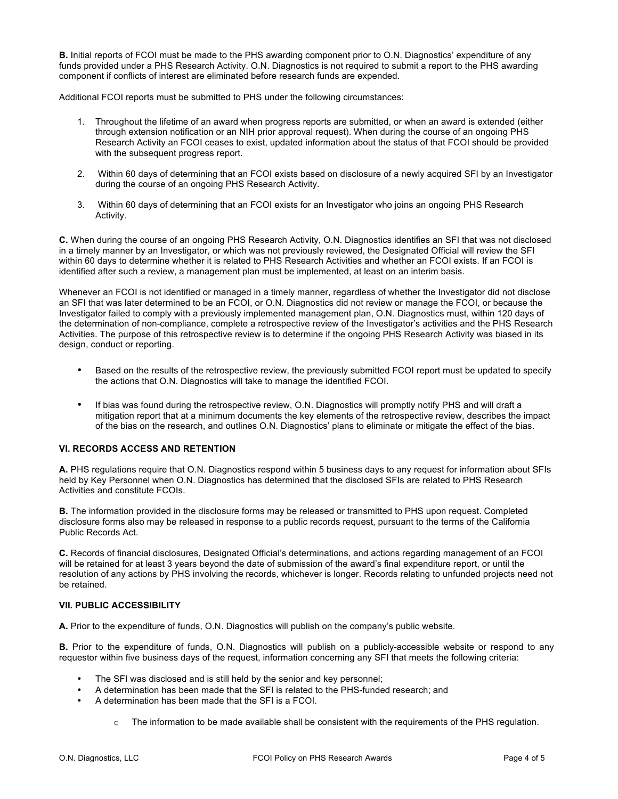**B.** Initial reports of FCOI must be made to the PHS awarding component prior to O.N. Diagnostics' expenditure of any funds provided under a PHS Research Activity. O.N. Diagnostics is not required to submit a report to the PHS awarding component if conflicts of interest are eliminated before research funds are expended.

Additional FCOI reports must be submitted to PHS under the following circumstances:

- 1. Throughout the lifetime of an award when progress reports are submitted, or when an award is extended (either through extension notification or an NIH prior approval request). When during the course of an ongoing PHS Research Activity an FCOI ceases to exist, updated information about the status of that FCOI should be provided with the subsequent progress report.
- 2. Within 60 days of determining that an FCOI exists based on disclosure of a newly acquired SFI by an Investigator during the course of an ongoing PHS Research Activity.
- 3. Within 60 days of determining that an FCOI exists for an Investigator who joins an ongoing PHS Research Activity.

**C.** When during the course of an ongoing PHS Research Activity, O.N. Diagnostics identifies an SFI that was not disclosed in a timely manner by an Investigator, or which was not previously reviewed, the Designated Official will review the SFI within 60 days to determine whether it is related to PHS Research Activities and whether an FCOI exists. If an FCOI is identified after such a review, a management plan must be implemented, at least on an interim basis.

Whenever an FCOI is not identified or managed in a timely manner, regardless of whether the Investigator did not disclose an SFI that was later determined to be an FCOI, or O.N. Diagnostics did not review or manage the FCOI, or because the Investigator failed to comply with a previously implemented management plan, O.N. Diagnostics must, within 120 days of the determination of non-compliance, complete a retrospective review of the Investigator's activities and the PHS Research Activities. The purpose of this retrospective review is to determine if the ongoing PHS Research Activity was biased in its design, conduct or reporting.

- Based on the results of the retrospective review, the previously submitted FCOI report must be updated to specify the actions that O.N. Diagnostics will take to manage the identified FCOI.
- If bias was found during the retrospective review, O.N. Diagnostics will promptly notify PHS and will draft a mitigation report that at a minimum documents the key elements of the retrospective review, describes the impact of the bias on the research, and outlines O.N. Diagnostics' plans to eliminate or mitigate the effect of the bias.

### **VI. RECORDS ACCESS AND RETENTION**

**A.** PHS regulations require that O.N. Diagnostics respond within 5 business days to any request for information about SFIs held by Key Personnel when O.N. Diagnostics has determined that the disclosed SFIs are related to PHS Research Activities and constitute FCOIs.

**B.** The information provided in the disclosure forms may be released or transmitted to PHS upon request. Completed disclosure forms also may be released in response to a public records request, pursuant to the terms of the California Public Records Act.

**C.** Records of financial disclosures, Designated Official's determinations, and actions regarding management of an FCOI will be retained for at least 3 years beyond the date of submission of the award's final expenditure report, or until the resolution of any actions by PHS involving the records, whichever is longer. Records relating to unfunded projects need not be retained.

#### **VII. PUBLIC ACCESSIBILITY**

**A.** Prior to the expenditure of funds, O.N. Diagnostics will publish on the company's public website.

**B.** Prior to the expenditure of funds, O.N. Diagnostics will publish on a publicly-accessible website or respond to any requestor within five business days of the request, information concerning any SFI that meets the following criteria:

- The SFI was disclosed and is still held by the senior and key personnel;
- A determination has been made that the SFI is related to the PHS-funded research; and
- A determination has been made that the SFI is a FCOI.
	- The information to be made available shall be consistent with the requirements of the PHS requlation.